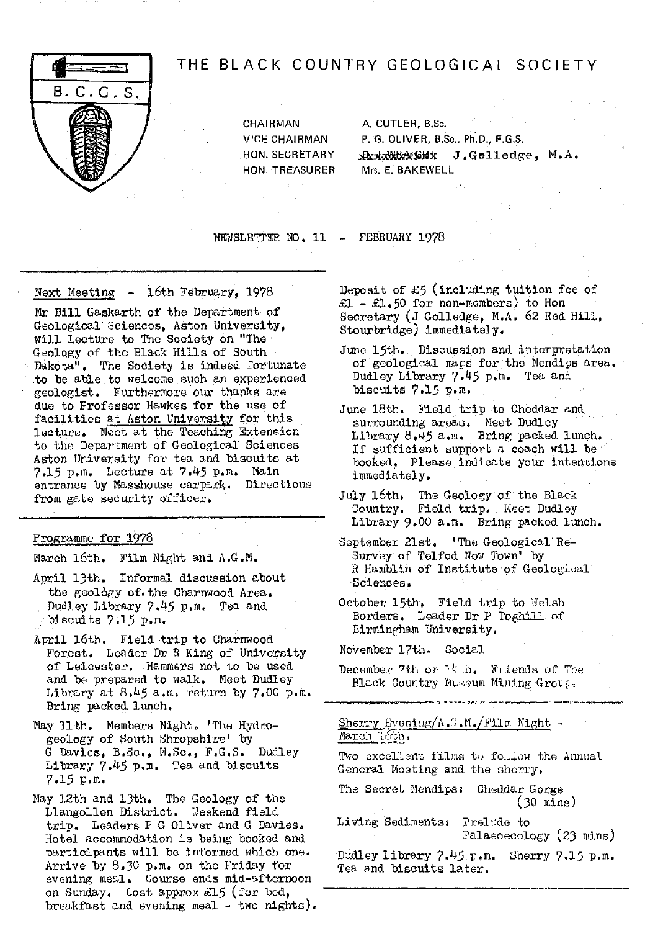

# THE BLACK COUNTRY GEOLOGICAL SOCIETY

HON. TREASURER

CHAIRMAN A. CUTLER, B.Sc. VICE CHAIRMAN P. G. OLIVER, B.Sc., Ph.D., F.G.S. HON. SECRETARY **, A. J. WRAGHX** J. Golledge, M.A.

NEWSLETTER NO. 11 - FEBRUARY 1978

Next Meeting - 16th February, 1978

Mr Bill Gaskarth of the Department of Geological Sciences, Aston University, will lecture to The Society on "The Geology of the Black Hills of South Dakota". The Society is indeed fortunate to be able to welcome such an experienced. geologist. Furthermore our thanks are due to Professor Hawkes for the use of facilities at Aston University for this lecture. Meet **at** the Taching Extension to the Department of Geological Sciences Aston University for tea and biscuits at 7.15 p.m. Lecture at 7.45 p.m. Main entrance by Masshouse carpark. Directions from gate security officer.

#### Programme for 1978

March 16th. Film Night and A.G.M.

- April 13th. Informal discussion about the geology of. the Charnwood Area. Dudley Library 7.45 p.m. Tea and biscuits 7.15 p.m.
- April 16th. Field trip to Charnwood Forest. Leader Dr B King of University of Leicester, Hammers not to be used and be prepared to walk. Meet Dudley Library at  $8.45$  a.m. return by  $7.00$  p.m. Bring packed lunch.
- May 11th. Members Night. 'The Hydrogeology of South Shropshire' by G Davies, B.Sc., M.Sc., F.G.S. Dudley Library  $7.45$  p.m. Tea and biscuits 7.15 p.m.
- May 12th and 13th. The Geology of the Llangollen District. 'Ieekend field trip. Leaders P G Oliver and G Davies. Hotel accommodation is being booked and participants will be informed which one. Arrive by 8.30 p.m. on the Friday for evening meal. Oourse ends mid-afternoon on Sunday. Cost approx £15 (for bed, breakfast and evening meal - two nights).

Deposit of £5 (including tuition fee of  $£1 - £1.50$  for non-members) to Hon Secretary (J Golledge, M.A. 62 Red Hill, Stourbridge) immediately.

- June 15th. Discussion and interpretation of geological maps for the Mendips area, Dudley Library 7.45 p.m. Tea and bisotits 7.15 p.m.
- June 18th. Field trip to Cheddar and surrounding areas. Meet Dudley Library 8,L5 a.m. Bring packed lunch. If sufficient support a coach will be booked. Please indicate your intentions immediately.
- July 16th. The Geology of the Black Country. Field trip. Meet Dudley Library 9.00 a.m. Bring packed lunch.
- September 21st. 'The Geological Re-Survey of Telfod Now Town' by R Hamblin of Institute of Geological Sciences.
- October 15th. Field trip to Welsh Borders. Leader Dr P Toghill of Birmingham University.

November 17th, Social

December 7th or  $1$ ' 'n. Filends of The Black Country Museum Mining Group.

Sherry Evening/A.C.M./Film Night -<br>March 16th.

Two excellent films to follow the Annual General Meeting and the sherry,

The Secret Hendipss Cheddar Gorge  $(30 \text{ mins})$ 

Living Sediments: Prelude to Palaeoecology (23 nins)

Dudley Library 7. <sup>44</sup>5 p.m. Sherry 7.15 p.n. Tea and biscuits later.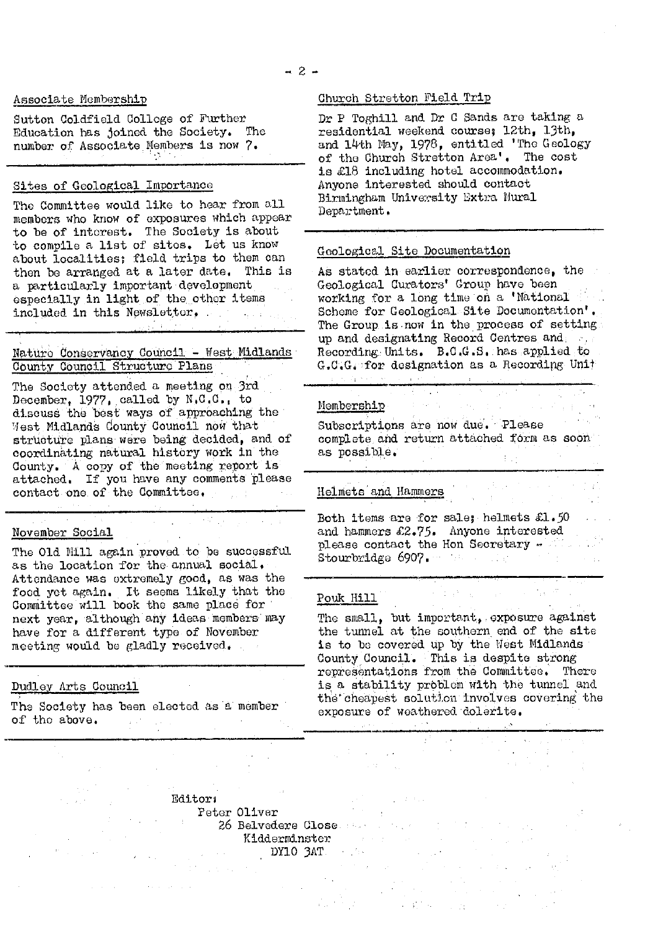#### Associate Membership

Sutton Coldficld College of Further Education has joined the Society. The number of. Associate Members is now 7.

# Sites of Geological Importance

The Committee would like to hear from all members who know of exposures which appear to be of interest, The Society is about to compile a list of sitos. Let us know about localities; field trips to them can then be arranged at a later date. This is a particularly important development especially in light of the other items included in this Newslettor.

#### Nature Conservancy Council - West Midlands County Council Structure Plans

الحجارية أوجيري

The Society attended a meeting on 3rd December, 1977, called by N.C.C., to discuss the best ways of approaching the **Mest Midlands County Council now that** structure plans were being decided, and of coordinating natural history work in the County. A copy of the meeting report is attached. If you have any comments' please contact one of the Committee,

## November Social

The Old Mill again proved to be successful as the location for the annual social, Attendance was extremely good, as was the food, yet again. It seems likely that the Committee will book the same place for next year, although any ideas members may have for a different type of November meeting would be gladly received.

## Dudley Arts Council

The Society has been elected as a member of the above. of the above.

#### Church Stretton Field Trip

Dr P Toghil]. and Dr C Sands aro taking a residential weekend course, 12th, 13th, and 14th May, 1978, entitled 'The Geology of the Church Stretton Area' . The cost is £18 including hotel accommodation. Anyone interested should contact Birmingham University Extra Mural Department.

#### Geological Site Documentation

As stated in earlier correspondence, the Geological Curators' Group have been working for a long time on a 'National Scheme for Geological Site Documentation'. The Group is now in the process of setting. up and designating Record Centres and Recording. Units. B.C.G.S, has applied to G.C.C. for designation as a Recording Unit

# Memberehip

Subscriptions are now due. Please complete and return attached form as soon as possible.

 $\label{eq:3.1} \mathcal{A}=\left\{1,\ldots,\frac{1}{2},\ldots,\frac{1}{2},\ldots,\frac{1}{2}\right\}.$ 

# Helmets and Hammers

Both items are for sale; helmets  $\mathfrak{L}{\small{1}}$  .50 and hammers £2.75. Anyone interested please contact the Hon Secretary - The secretary Stourbridge 6907.

#### Pouk Hill

The small, but important, exposure against the tunnel at the southern end of the site is to be covered up by the West Midlands County Council,. This is despite strong representations from the Committee. There is a stability prbblcm with the tunnel and the cheapest solution involves covering the exposure of weathered'dolerite.

anders († 1939)<br>1905 - Johann Bartham, fransk skriver († 1906)<br>1905 - Johann Bartham, fransk skriver († 1906)

 $\mathcal{X} \to \mathcal{Y}$  ,  $\mathcal{X}_1$  , and  $\mathcal{X}_2$  , and  $\mathcal{X}_3$ 

 $\begin{split} \frac{d\sigma}{dt} & = -\frac{1}{2}\left(\frac{1}{2} \left( \frac{1}{2} \left( \frac{1}{2} \right) - \frac{1}{2} \left( \frac{1}{2} \right) \right) \right) \\ \frac{d\sigma}{dt} & = -\frac{1}{2} \left( \frac{1}{2} \left( \frac{1}{2} \left( \frac{1}{2} \right) - \frac{1}{2} \left( \frac{1}{2} \right) \right) \right) \end{split}$ 

Editors Peter Oliver 26 Belvedere Close. Belgischer Kidderminster DYE.© 3AT. .